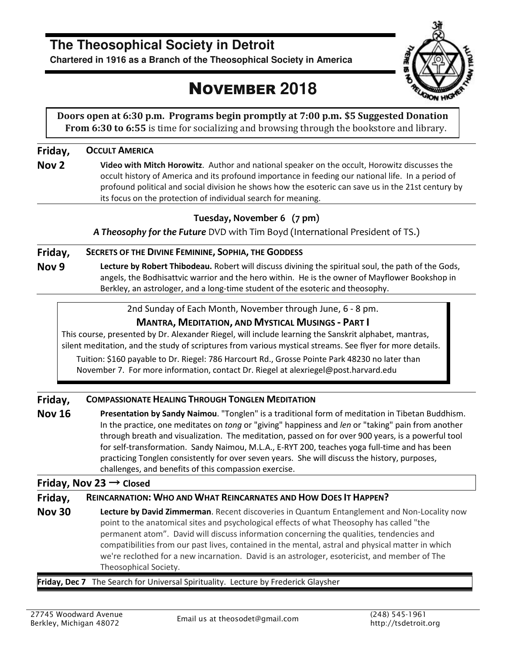# **The Theosophical Society in Detroit**

**Chartered in 1916 as a Branch of the Theosophical Society in America**

# NOVEMBER **2018**



**Doors open at 6:30 p.m. Programs begin promptly at 7:00 p.m. \$5 Suggested Donation From 6:30 to 6:55** is time for socializing and browsing through the bookstore and library.

#### **Friday, OCCULT AMERICA**

**Nov 2 Video with Mitch Horowitz**. Author and national speaker on the occult, Horowitz discusses the occult history of America and its profound importance in feeding our national life. In a period of profound political and social division he shows how the esoteric can save us in the 21st century by its focus on the protection of individual search for meaning.

### **Tuesday, November 6 (7 pm)**

*A Theosophy for the Future* DVD with Tim Boyd (International President of TS.)

#### **Friday, SECRETS OF THE DIVINE FEMININE, SOPHIA, THE GODDESS**

**Nov 9 Lecture by Robert Thibodeau.** Robert will discuss divining the spiritual soul, the path of the Gods, angels, the Bodhisattvic warrior and the hero within. He is the owner of Mayflower Bookshop in Berkley, an astrologer, and a long-time student of the esoteric and theosophy.

2nd Sunday of Each Month, November through June, 6 - 8 pm.

#### **MANTRA, MEDITATION, AND MYSTICAL MUSINGS - PART I**

This course, presented by Dr. Alexander Riegel, will include learning the Sanskrit alphabet, mantras, silent meditation, and the study of scriptures from various mystical streams. See flyer for more details.

Tuition: \$160 payable to Dr. Riegel: 786 Harcourt Rd., Grosse Pointe Park 48230 no later than November 7. For more information, contact Dr. Riegel at alexriegel@post.harvard.edu

#### **Friday, COMPASSIONATE HEALING THROUGH TONGLEN MEDITATION**

**Nov 16 Presentation by Sandy Naimou**. "Tonglen" is a traditional form of meditation in Tibetan Buddhism. In the practice, one meditates on *tong* or "giving" happiness and *len* or "taking" pain from another through breath and visualization. The meditation, passed on for over 900 years, is a powerful tool for self-transformation. Sandy Naimou, M.L.A., E-RYT 200, teaches yoga full-time and has been practicing Tonglen consistently for over seven years. She will discuss the history, purposes, challenges, and benefits of this compassion exercise.

#### **Friday, Nov 23** → **Closed**

#### **Friday, REINCARNATION: WHO AND WHAT REINCARNATES AND HOW DOES IT HAPPEN?**

**Nov 30 Lecture by David Zimmerman**. Recent discoveries in Quantum Entanglement and Non-Locality now point to the anatomical sites and psychological effects of what Theosophy has called "the permanent atom". David will discuss information concerning the qualities, tendencies and compatibilities from our past lives, contained in the mental, astral and physical matter in which we're reclothed for a new incarnation. David is an astrologer, esotericist, and member of The Theosophical Society.

#### **Friday, Dec 7** The Search for Universal Spirituality. Lecture by Frederick Glaysher